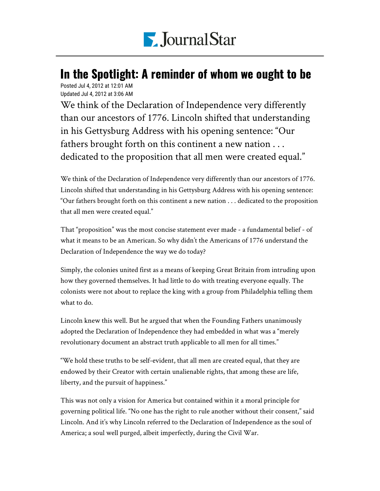

## Posted Jul 4, 2012 at 12:01 AM In the Spotlight: A reminder of whom we ought to be

Updated Jul 4, 2012 at 3:06 AM

We think of the Declaration of Independence very differently than our ancestors of 1776. Lincoln shifted that understanding in his Gettysburg Address with his opening sentence: "Our fathers brought forth on this continent a new nation . . . dedicated to the proposition that all men were created equal."

We think of the Declaration of Independence very differently than our ancestors of 1776. Lincoln shifted that understanding in his Gettysburg Address with his opening sentence: "Our fathers brought forth on this continent a new nation . . . dedicated to the proposition that all men were created equal."

That "proposition" was the most concise statement ever made - a fundamental belief - of what it means to be an American. So why didn't the Americans of 1776 understand the Declaration of Independence the way we do today?

Simply, the colonies united first as a means of keeping Great Britain from intruding upon how they governed themselves. It had little to do with treating everyone equally. The colonists were not about to replace the king with a group from Philadelphia telling them what to do.

Lincoln knew this well. But he argued that when the Founding Fathers unanimously adopted the Declaration of Independence they had embedded in what was a "merely revolutionary document an abstract truth applicable to all men for all times."

"We hold these truths to be self-evident, that all men are created equal, that they are endowed by their Creator with certain unalienable rights, that among these are life, liberty, and the pursuit of happiness."

This was not only a vision for America but contained within it a moral principle for governing political life. "No one has the right to rule another without their consent," said Lincoln. And it's why Lincoln referred to the Declaration of Independence as the soul of America; a soul well purged, albeit imperfectly, during the Civil War.